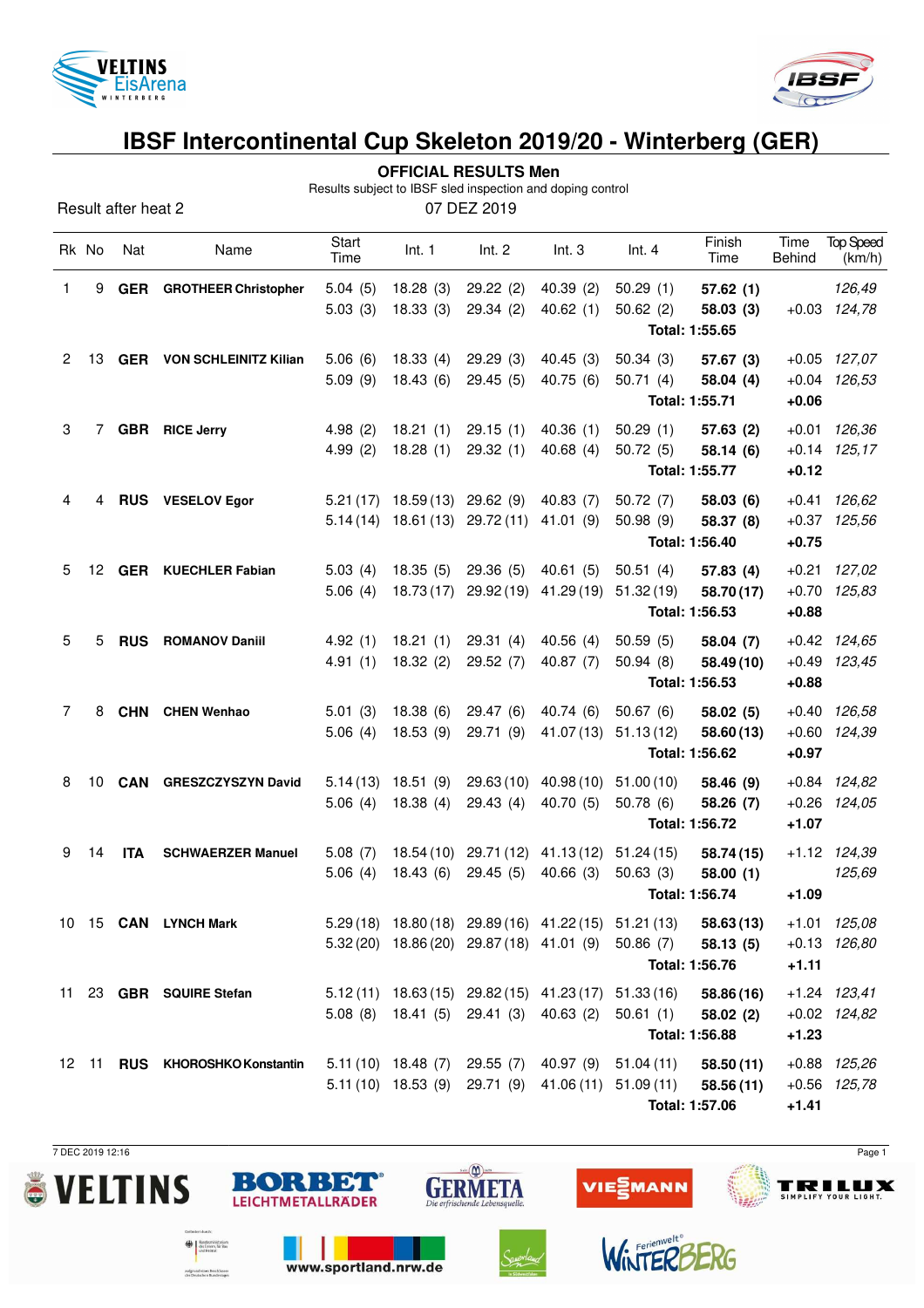



## **IBSF Intercontinental Cup Skeleton 2019/20 - Winterberg (GER)**

|   | <b>OFFICIAL RESULTS Men</b><br>Results subject to IBSF sled inspection and doping control |            |                                  |                    |                                 |                      |                                                     |                                                                  |                      |                       |                            |  |
|---|-------------------------------------------------------------------------------------------|------------|----------------------------------|--------------------|---------------------------------|----------------------|-----------------------------------------------------|------------------------------------------------------------------|----------------------|-----------------------|----------------------------|--|
|   | 07 DEZ 2019<br>Result after heat 2                                                        |            |                                  |                    |                                 |                      |                                                     |                                                                  |                      |                       |                            |  |
|   | Rk No                                                                                     | Nat        | Name                             | Start<br>Time      | Int. 1                          | Int. $2$             | Int.3                                               | Int.4                                                            | Finish<br>Time       | Time<br><b>Behind</b> | <b>Top Speed</b><br>(km/h) |  |
| 1 | 9                                                                                         | <b>GER</b> | <b>GROTHEER Christopher</b>      | 5.04(5)<br>5.03(3) | 18.28(3)<br>18.33(3)            | 29.22(2)<br>29.34(2) | 40.39(2)<br>40.62(1)                                | 50.29(1)<br>50.62(2)                                             | 57.62(1)<br>58.03(3) |                       | 126,49<br>$+0.03$ 124,78   |  |
|   |                                                                                           |            |                                  |                    |                                 |                      |                                                     |                                                                  | Total: 1:55.65       |                       |                            |  |
| 2 | 13                                                                                        |            | <b>GER</b> VON SCHLEINITZ Kilian | 5.06(6)            | 18.33(4)                        | 29.29(3)             | 40.45(3)                                            | 50.34(3)                                                         | 57.67(3)             |                       | $+0.05$ 127,07             |  |
|   |                                                                                           |            |                                  | 5.09(9)            | 18.43(6)                        | 29.45(5)             | 40.75(6)                                            | 50.71(4)                                                         | 58.04 (4)            |                       | $+0.04$ 126,53             |  |
|   |                                                                                           |            |                                  |                    |                                 |                      |                                                     |                                                                  | Total: 1:55.71       | $+0.06$               |                            |  |
| 3 | 7                                                                                         |            | <b>GBR</b> RICE Jerry            | 4.98(2)            | 18.21(1)                        | 29.15(1)             | 40.36(1)                                            | 50.29(1)                                                         | 57.63(2)             | $+0.01$               | 126,36                     |  |
|   |                                                                                           |            |                                  | 4.99(2)            | 18.28(1)                        | 29.32(1)             | 40.68(4)                                            | 50.72(5)                                                         | 58.14(6)             |                       | $+0.14$ 125,17             |  |
|   |                                                                                           |            |                                  |                    |                                 |                      |                                                     |                                                                  | Total: 1:55.77       | $+0.12$               |                            |  |
| 4 | 4                                                                                         |            | RUS VESELOV Egor                 |                    | $5.21(17)$ 18.59 (13) 29.62 (9) |                      | 40.83(7)                                            | 50.72(7)                                                         | 58.03(6)             | $+0.41$               | 126,62                     |  |
|   |                                                                                           |            |                                  |                    | $5.14(14)$ 18.61(13) 29.72(11)  |                      | 41.01 (9)                                           | 50.98(9)                                                         | 58.37 (8)            |                       | $+0.37$ 125,56             |  |
|   |                                                                                           |            |                                  |                    |                                 |                      | Total: 1:56.40<br>$+0.75$                           |                                                                  |                      |                       |                            |  |
| 5 | 12                                                                                        |            | <b>GER</b> KUECHLER Fabian       | 5.03(4)            | 18.35 (5)                       | 29.36(5)             | 40.61(5)                                            | 50.51(4)                                                         | 57.83(4)             | $+0.21$               | 127,02                     |  |
|   |                                                                                           |            |                                  | 5.06(4)            | 18.73(17)                       | 29.92(19)            | 41.29 (19)                                          | 51.32(19)                                                        | 58.70 (17)           | $+0.70$               | 125,83                     |  |
|   |                                                                                           |            |                                  |                    |                                 |                      |                                                     |                                                                  | Total: 1:56.53       | $+0.88$               |                            |  |
| 5 | 5                                                                                         | <b>RUS</b> | <b>ROMANOV Daniil</b>            | 4.92(1)            | 18.21(1)                        | 29.31(4)             | 40.56(4)                                            | 50.59(5)                                                         | 58.04 (7)            |                       | $+0.42$ $124,65$           |  |
|   |                                                                                           |            |                                  | 4.91(1)            | 18.32(2)                        | 29.52 (7)            | 40.87(7)                                            | 50.94(8)                                                         | 58.49 (10)           |                       | $+0.49$ 123,45             |  |
|   |                                                                                           |            |                                  |                    |                                 |                      |                                                     |                                                                  | Total: 1:56.53       | $+0.88$               |                            |  |
| 7 | 8                                                                                         | <b>CHN</b> | <b>CHEN Wenhao</b>               | 5.01(3)            | 18.38(6)                        | 29.47(6)             | 40.74 (6)                                           | 50.67(6)                                                         | 58.02(5)             |                       | $+0.40$ $126,58$           |  |
|   |                                                                                           |            |                                  | 5.06(4)            | 18.53(9)                        | 29.71 (9)            | 41.07 (13)                                          | 51.13(12)                                                        | 58.60 (13)           |                       | +0.60 124,39               |  |
|   |                                                                                           |            |                                  |                    |                                 |                      |                                                     |                                                                  | Total: 1:56.62       | $+0.97$               |                            |  |
| 8 | 10                                                                                        | <b>CAN</b> | <b>GRESZCZYSZYN David</b>        | 5.14(13)           | 18.51 (9)                       | 29.63(10)            | 40.98 (10)                                          | 51.00(10)                                                        | 58.46 (9)            |                       | $+0.84$ 124,82             |  |
|   |                                                                                           |            |                                  | 5.06(4)            | 18.38(4)                        | 29.43(4)             | 40.70 (5)                                           | 50.78(6)                                                         | 58.26 (7)            |                       | $+0.26$ 124,05             |  |
|   |                                                                                           |            |                                  |                    |                                 |                      |                                                     |                                                                  | Total: 1:56.72       | $+1.07$               |                            |  |
| 9 | 14                                                                                        | <b>ITA</b> | <b>SCHWAERZER Manuel</b>         | 5.08(7)            |                                 |                      | 18.54 (10) 29.71 (12) 41.13 (12)                    | 51.24(15)                                                        | 58.74 (15)           |                       | +1.12 124,39               |  |
|   |                                                                                           |            |                                  |                    |                                 |                      |                                                     | 5.06 (4) 18.43 (6) 29.45 (5) 40.66 (3) 50.63 (3) 58.00 (1)       |                      |                       | 125,69                     |  |
|   |                                                                                           |            |                                  |                    |                                 |                      |                                                     |                                                                  | Total: 1:56.74       | $+1.09$               |                            |  |
|   |                                                                                           |            | 10 15 CAN LYNCH Mark             |                    |                                 |                      |                                                     | 5.29 (18) 18.80 (18) 29.89 (16) 41.22 (15) 51.21 (13) 58.63 (13) |                      |                       | $+1.01$ $125,08$           |  |
|   |                                                                                           |            |                                  |                    |                                 |                      | 5.32 (20) 18.86 (20) 29.87 (18) 41.01 (9) 50.86 (7) |                                                                  | 58.13(5)             |                       | $+0.13$ $126,80$           |  |
|   |                                                                                           |            |                                  |                    |                                 |                      |                                                     |                                                                  | Total: 1:56.76       | $+1.11$               |                            |  |
|   |                                                                                           |            | 11 23 GBR SQUIRE Stefan          |                    |                                 |                      |                                                     | $5.12(11)$ $18.63(15)$ $29.82(15)$ $41.23(17)$ $51.33(16)$       | 58.86 (16)           |                       | $+1.24$ $123,41$           |  |
|   |                                                                                           |            |                                  |                    |                                 |                      | 5.08 (8) 18.41 (5) 29.41 (3) 40.63 (2) 50.61 (1)    |                                                                  | 58.02(2)             |                       | $+0.02$ 124,82             |  |
|   |                                                                                           |            |                                  |                    |                                 |                      |                                                     |                                                                  | Total: 1:56.88       | $+1.23$               |                            |  |
|   |                                                                                           |            | 12 11 RUS KHOROSHKO Konstantin   |                    |                                 |                      |                                                     | 5.11 (10) 18.48 (7) 29.55 (7) 40.97 (9) 51.04 (11)               | 58.50(11)            |                       | +0.88 125,26               |  |
|   |                                                                                           |            |                                  |                    |                                 |                      | 5.11 (10) 18.53 (9) 29.71 (9) 41.06 (11) 51.09 (11) |                                                                  | 58.56(11)            |                       | $+0.56$ 125,78             |  |

 $\frac{\sin\left(\frac{\sqrt{3}}{2}\right)}{1675}$ 

**GERMETA** 

**BORBET**®

**LEICHTMETALLRÄDER** 

www.sportland.nrw.de

 $\bigoplus_{\text{des Inner}, \text{fic } \text{Buz}} \left[ \begin{array}{c} \text{Subdefinition} \\ \text{des Inner}, \text{fic } \text{Buz} \\ \text{ord } \text{Heiruz} \end{array} \right]$ 

aufgrund eines Beschlusses<br>des Deutschen Bundestages

**Total: 1:57.06 +1.41**

VIEZMANN

7 DEC 2019 12:16 Page 1

**TRILUX** 



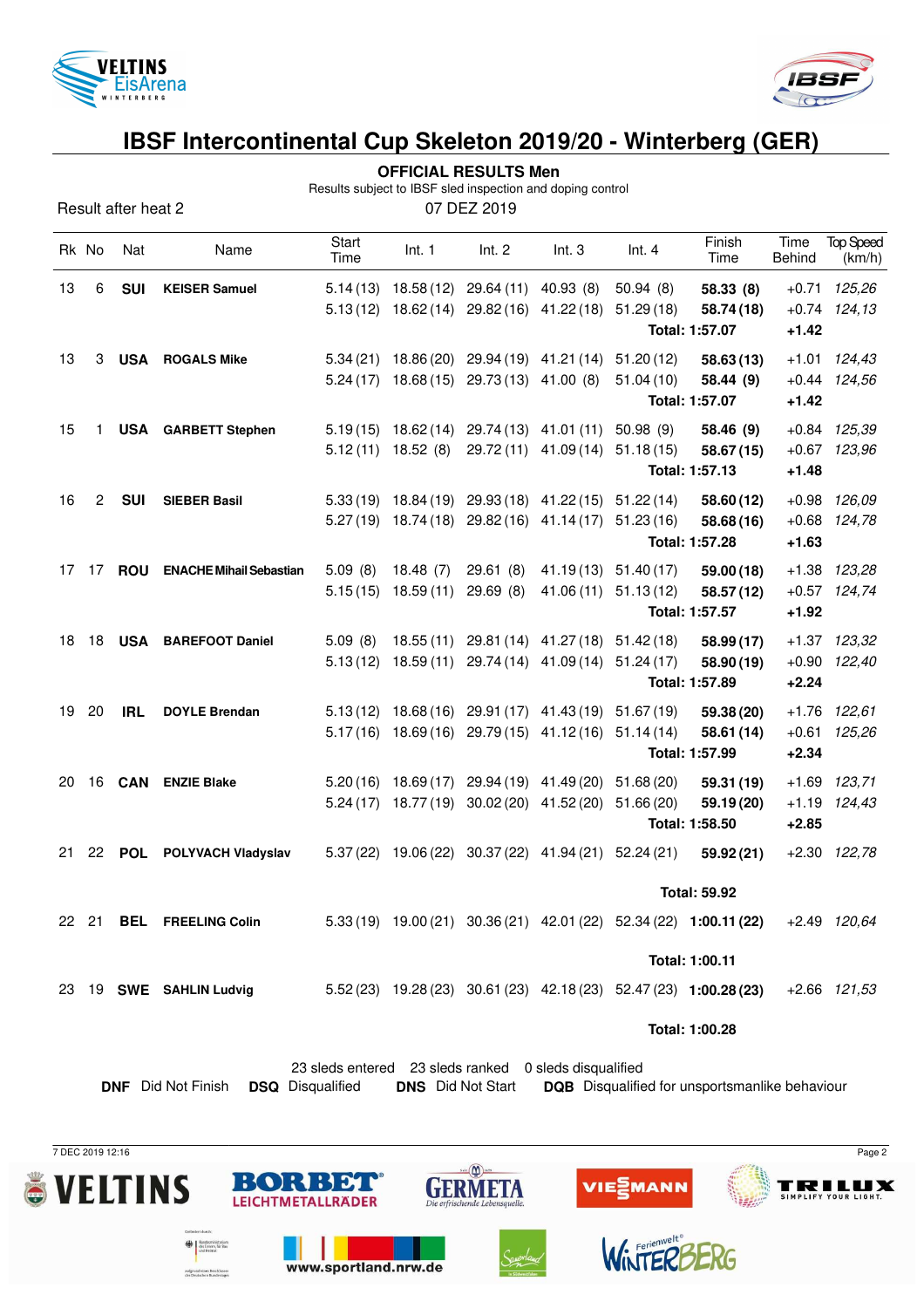

Result after heat 2



### **IBSF Intercontinental Cup Skeleton 2019/20 - Winterberg (GER)**

|  | <b>OFFICIAL RESULTS Men</b> |  |
|--|-----------------------------|--|
|--|-----------------------------|--|

Results subject to IBSF sled inspection and doping control

| 07 DEZ 2019 |
|-------------|
|-------------|

|       |                                                       |                            |                                                      |               |                          |                                                       |                       |                                                       | Finish                                                              |                |                            |  |
|-------|-------------------------------------------------------|----------------------------|------------------------------------------------------|---------------|--------------------------|-------------------------------------------------------|-----------------------|-------------------------------------------------------|---------------------------------------------------------------------|----------------|----------------------------|--|
| Rk No |                                                       | Nat                        | Name                                                 | Start<br>Time | Int. 1                   | Int. 2                                                | Int.3                 | Int.4                                                 | Time                                                                | Time<br>Behind | <b>Top Speed</b><br>(km/h) |  |
| 13    | 6                                                     | <b>SUI</b>                 | <b>KEISER Samuel</b>                                 |               |                          | $5.14(13)$ 18.58 (12) 29.64 (11) 40.93 (8)            |                       | 50.94 (8)                                             | 58.33 (8)                                                           |                | $+0.71$ 125,26             |  |
|       |                                                       |                            |                                                      |               |                          | $5.13(12)$ $18.62(14)$ $29.82(16)$ $41.22(18)$        |                       | 51.29(18)                                             | 58.74 (18)                                                          |                | $+0.74$ 124,13             |  |
|       |                                                       |                            |                                                      |               |                          |                                                       |                       |                                                       | Total: 1:57.07                                                      | $+1.42$        |                            |  |
| 13    | 3                                                     | <b>USA</b>                 | <b>ROGALS Mike</b>                                   |               |                          | 5.34 (21) 18.86 (20) 29.94 (19) 41.21 (14)            |                       | 51.20 (12)                                            | 58.63(13)                                                           | $+1.01$        | 124,43                     |  |
|       |                                                       |                            |                                                      |               |                          | $5.24(17)$ 18.68 $(15)$ 29.73 $(13)$ 41.00 $(8)$      |                       | 51.04(10)                                             | 58.44 (9)                                                           |                | $+0.44$ $124,56$           |  |
|       |                                                       |                            |                                                      |               |                          |                                                       |                       |                                                       | Total: 1:57.07                                                      | $+1.42$        |                            |  |
| 15    |                                                       |                            | 1 USA GARBETT Stephen                                |               |                          | $5.19(15)$ $18.62(14)$ $29.74(13)$ $41.01(11)$        |                       | 50.98(9)                                              | 58.46 (9)                                                           |                | $+0.84$ $125,39$           |  |
|       |                                                       |                            |                                                      |               | $5.12(11)$ 18.52 (8)     |                                                       | 29.72 (11) 41.09 (14) | 51.18(15)                                             | 58.67 (15)                                                          |                | $+0.67$ 123,96             |  |
|       |                                                       |                            |                                                      |               |                          |                                                       |                       |                                                       | Total: 1:57.13                                                      | $+1.48$        |                            |  |
| 16    | 2                                                     | <b>SUI</b>                 | <b>SIEBER Basil</b>                                  |               |                          | 5.33 (19) 18.84 (19) 29.93 (18) 41.22 (15) 51.22 (14) |                       |                                                       | 58.60 (12)                                                          |                | $+0.98$ $126,09$           |  |
|       |                                                       |                            |                                                      |               |                          | 5.27 (19) 18.74 (18) 29.82 (16) 41.14 (17) 51.23 (16) |                       |                                                       | 58.68(16)                                                           |                | $+0.68$ 124,78             |  |
|       |                                                       |                            |                                                      |               |                          |                                                       |                       |                                                       | Total: 1:57.28                                                      | $+1.63$        |                            |  |
| 17    |                                                       | 17 <b>ROU</b>              | <b>ENACHE Mihail Sebastian</b>                       | 5.09(8)       | 18.48(7)                 | 29.61(8)                                              |                       | 41.19 (13) 51.40 (17)                                 | 59.00 (18)                                                          |                | +1.38 123,28               |  |
|       |                                                       |                            |                                                      | 5.15(15)      | 18.59 (11) 29.69 (8)     |                                                       |                       | 41.06 (11) 51.13 (12)                                 | 58.57(12)                                                           |                | $+0.57$ 124,74             |  |
|       |                                                       |                            |                                                      |               |                          |                                                       |                       |                                                       | Total: 1:57.57                                                      | $+1.92$        |                            |  |
| 18    | 18                                                    |                            | <b>USA BAREFOOT Daniel</b>                           | 5.09(8)       |                          | 18.55 (11) 29.81 (14) 41.27 (18) 51.42 (18)           |                       |                                                       | 58.99 (17)                                                          |                | +1.37 123,32               |  |
|       |                                                       |                            |                                                      |               |                          | 5.13 (12) 18.59 (11) 29.74 (14) 41.09 (14) 51.24 (17) |                       |                                                       | 58.90 (19)                                                          |                | +0.90 122,40               |  |
|       |                                                       |                            |                                                      |               |                          |                                                       |                       |                                                       | Total: 1:57.89                                                      | $+2.24$        |                            |  |
| 19    | 20                                                    | <b>IRL</b>                 | <b>DOYLE Brendan</b>                                 |               |                          | 5.13 (12) 18.68 (16) 29.91 (17) 41.43 (19) 51.67 (19) |                       |                                                       | 59.38 (20)                                                          |                | +1.76 122,61               |  |
|       |                                                       |                            |                                                      |               |                          | 5.17(16) 18.69(16) 29.79(15) 41.12(16) 51.14(14)      |                       |                                                       | 58.61 (14)                                                          |                | $+0.61$ 125,26             |  |
|       |                                                       |                            |                                                      |               |                          |                                                       |                       |                                                       | Total: 1:57.99                                                      | $+2.34$        |                            |  |
| 20    |                                                       | 16 <b>CAN</b>              | <b>ENZIE Blake</b>                                   |               |                          | 5.20 (16) 18.69 (17) 29.94 (19) 41.49 (20) 51.68 (20) |                       |                                                       | 59.31 (19)                                                          |                | $+1.69$ 123,71             |  |
|       |                                                       |                            |                                                      |               |                          | 5.24 (17) 18.77 (19) 30.02 (20) 41.52 (20) 51.66 (20) |                       |                                                       | 59.19 (20)                                                          |                | $+1.19$ $124,43$           |  |
|       |                                                       |                            |                                                      |               |                          |                                                       |                       |                                                       | Total: 1:58.50                                                      | $+2.85$        |                            |  |
| 21    | 22                                                    | <b>POL</b>                 | POLYVACH Vladyslav                                   |               |                          |                                                       |                       | 5.37 (22) 19.06 (22) 30.37 (22) 41.94 (21) 52.24 (21) | 59.92 (21)                                                          |                | $+2.30$ $122.78$           |  |
|       |                                                       |                            |                                                      |               |                          |                                                       |                       |                                                       |                                                                     |                |                            |  |
|       |                                                       |                            |                                                      |               |                          |                                                       |                       |                                                       | <b>Total: 59.92</b>                                                 |                |                            |  |
|       | 22 21                                                 |                            | <b>BEL FREELING Colin</b>                            |               |                          |                                                       |                       |                                                       | 5.33 (19) 19.00 (21) 30.36 (21) 42.01 (22) 52.34 (22) 1:00.11 (22)  |                | +2.49 120,64               |  |
|       |                                                       |                            |                                                      |               |                          |                                                       |                       |                                                       | Total: 1:00.11                                                      |                |                            |  |
| 23    |                                                       |                            | 19 SWE SAHLIN Ludvig                                 |               |                          |                                                       |                       |                                                       | $5.52(23)$ 19.28 (23) 30.61 (23) 42.18 (23) 52.47 (23) 1:00.28 (23) |                | $+2.66$ $121,53$           |  |
|       |                                                       |                            |                                                      |               |                          |                                                       |                       |                                                       |                                                                     |                |                            |  |
|       |                                                       |                            |                                                      |               |                          |                                                       |                       |                                                       | Total: 1:00.28                                                      |                |                            |  |
|       | 23 sleds entered 23 sleds ranked 0 sleds disqualified |                            |                                                      |               |                          |                                                       |                       |                                                       |                                                                     |                |                            |  |
|       |                                                       |                            | <b>DSQ</b> Disqualified<br><b>DNF</b> Did Not Finish |               | <b>DNS</b> Did Not Start |                                                       |                       |                                                       | DQB Disqualified for unsportsmanlike behaviour                      |                |                            |  |
|       |                                                       |                            |                                                      |               |                          |                                                       |                       |                                                       |                                                                     |                |                            |  |
|       |                                                       |                            |                                                      |               |                          |                                                       |                       |                                                       |                                                                     |                |                            |  |
|       |                                                       | 7 DEC 2019 12:16<br>Page 2 |                                                      |               |                          |                                                       |                       |                                                       |                                                                     |                |                            |  |

 $sin(1)$ 

**GERMETA** 

BET

www.sportland.nrw.de

BOR

the des Inners, f<br>and Heimat

sulgrund eines Beschlussen<br>des Deutschen Bundestages

**LEICHTMETALLRÄDER** 



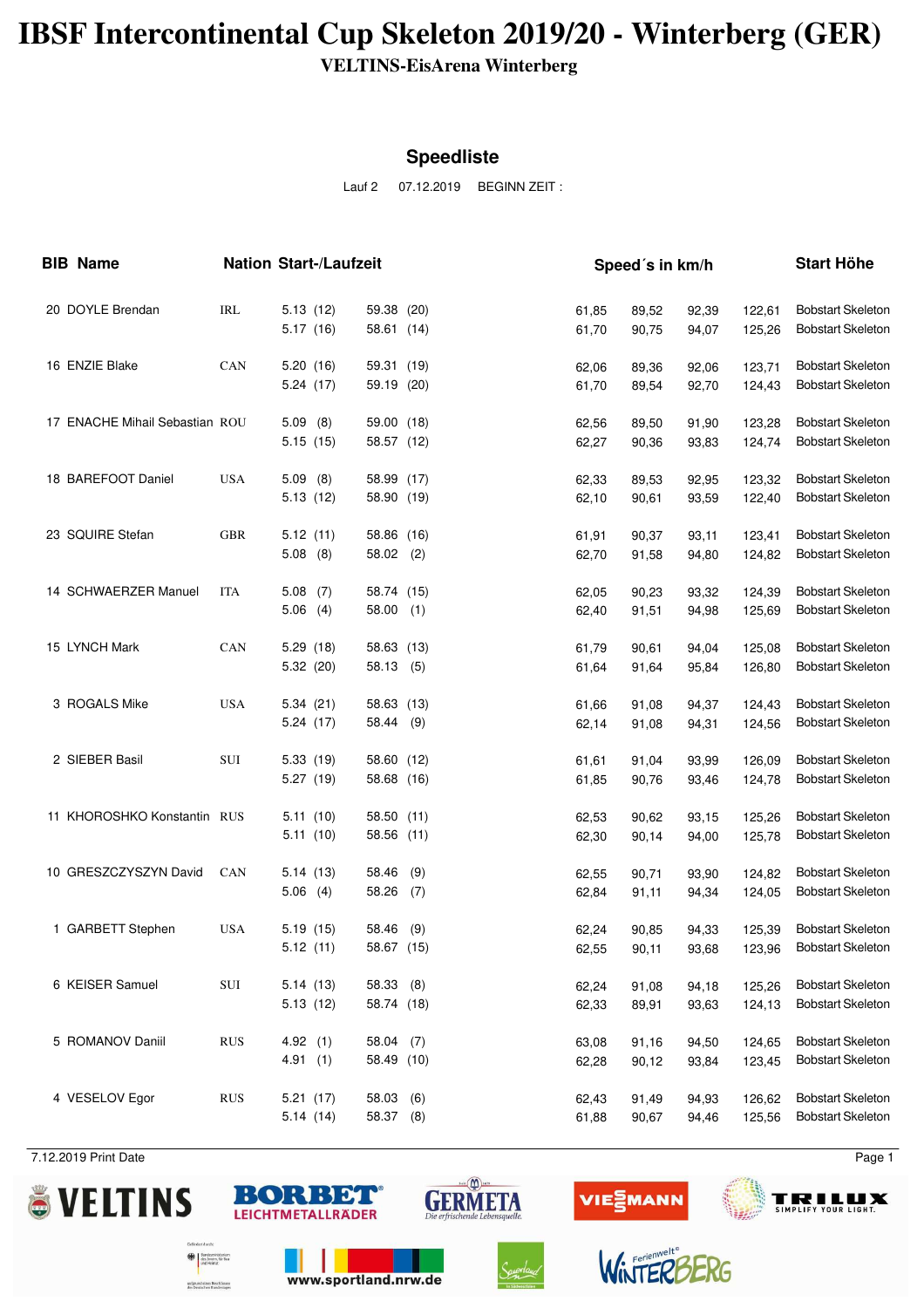## **IBSF Intercontinental Cup Skeleton 2019/20 - Winterberg (GER)**

**VELTINS-EisArena Winterberg**

#### **Speedliste**

Lauf 2 07.12.2019 BEGINN ZEIT :

| <b>BIB Name</b>                |            |                          | <b>Nation Start-/Laufzeit</b> |            |                | Speed's in km/h |                |                  | <b>Start Höhe</b>                                    |
|--------------------------------|------------|--------------------------|-------------------------------|------------|----------------|-----------------|----------------|------------------|------------------------------------------------------|
| 20 DOYLE Brendan               | IRL        | 5.13(12)<br>5.17(16)     | 59.38 (20)<br>58.61 (14)      |            | 61,85<br>61,70 | 89,52<br>90,75  | 92,39<br>94,07 | 122,61<br>125,26 | <b>Bobstart Skeleton</b><br><b>Bobstart Skeleton</b> |
| 16 ENZIE Blake                 | CAN        | 5.20(16)<br>5.24(17)     | 59.31 (19)<br>59.19 (20)      |            | 62,06<br>61,70 | 89,36<br>89,54  | 92,06<br>92,70 | 123,71<br>124,43 | <b>Bobstart Skeleton</b><br><b>Bobstart Skeleton</b> |
| 17 ENACHE Mihail Sebastian ROU |            | 5.09(8)<br>5.15(15)      | 59.00 (18)<br>58.57 (12)      |            | 62,56<br>62,27 | 89,50<br>90,36  | 91,90<br>93,83 | 123,28<br>124,74 | <b>Bobstart Skeleton</b><br><b>Bobstart Skeleton</b> |
| 18 BAREFOOT Daniel             | <b>USA</b> | 5.09(8)<br>5.13(12)      | 58.99 (17)<br>58.90 (19)      |            | 62,33<br>62,10 | 89,53<br>90,61  | 92,95<br>93,59 | 123,32<br>122,40 | <b>Bobstart Skeleton</b><br><b>Bobstart Skeleton</b> |
| 23 SQUIRE Stefan               | <b>GBR</b> | 5.12(11)<br>$5.08$ (8)   | 58.86 (16)<br>$58.02$ (2)     |            | 61,91<br>62,70 | 90,37<br>91,58  | 93,11<br>94,80 | 123,41<br>124,82 | <b>Bobstart Skeleton</b><br><b>Bobstart Skeleton</b> |
| 14 SCHWAERZER Manuel           | <b>ITA</b> | $5.08$ (7)<br>$5.06$ (4) | 58.74 (15)<br>$58.00$ (1)     |            | 62,05<br>62,40 | 90,23<br>91,51  | 93,32<br>94,98 | 124,39<br>125,69 | <b>Bobstart Skeleton</b><br><b>Bobstart Skeleton</b> |
| 15 LYNCH Mark                  | CAN        | 5.29(18)<br>5.32 (20)    | 58.63 (13)<br>58.13 (5)       |            | 61,79<br>61,64 | 90,61<br>91,64  | 94,04<br>95,84 | 125,08<br>126,80 | <b>Bobstart Skeleton</b><br><b>Bobstart Skeleton</b> |
| 3 ROGALS Mike                  | <b>USA</b> | 5.34(21)<br>5.24(17)     | 58.63 (13)<br>58.44 (9)       |            | 61,66<br>62,14 | 91,08<br>91,08  | 94,37<br>94,31 | 124,43<br>124,56 | <b>Bobstart Skeleton</b><br><b>Bobstart Skeleton</b> |
| 2 SIEBER Basil                 | SUI        | 5.33(19)<br>5.27 (19)    | 58.60 (12)<br>58.68 (16)      |            | 61,61<br>61,85 | 91,04<br>90,76  | 93,99<br>93,46 | 126,09<br>124,78 | <b>Bobstart Skeleton</b><br><b>Bobstart Skeleton</b> |
| 11 KHOROSHKO Konstantin RUS    |            | 5.11(10)<br>5.11(10)     | 58.50 (11)<br>58.56 (11)      |            | 62,53<br>62,30 | 90,62<br>90,14  | 93,15<br>94,00 | 125,26<br>125,78 | <b>Bobstart Skeleton</b><br><b>Bobstart Skeleton</b> |
| 10 GRESZCZYSZYN David          | <b>CAN</b> | 5.14(13)<br>$5.06$ (4)   | 58.46<br>58.26                | (9)<br>(7) | 62,55<br>62,84 | 90,71<br>91,11  | 93,90<br>94,34 | 124,82<br>124,05 | <b>Bobstart Skeleton</b><br><b>Bobstart Skeleton</b> |
| 1 GARBETT Stephen              | <b>USA</b> | 5.19(15)<br>5.12(11)     | 58.46 (9)<br>58.67 (15)       |            | 62,24<br>62,55 | 90,85<br>90,11  | 94,33<br>93,68 | 125,39<br>123,96 | <b>Bobstart Skeleton</b><br><b>Bobstart Skeleton</b> |
| 6 KEISER Samuel                | SUI        | 5.14(13)<br>5.13(12)     | 58.33 (8)<br>58.74 (18)       |            | 62,24<br>62,33 | 91,08<br>89,91  | 94,18<br>93,63 | 125,26<br>124,13 | <b>Bobstart Skeleton</b><br><b>Bobstart Skeleton</b> |
| 5 ROMANOV Daniil               | <b>RUS</b> | 4.92(1)<br>4.91(1)       | 58.04 (7)<br>58.49 (10)       |            | 63,08<br>62,28 | 91,16<br>90,12  | 94,50<br>93,84 | 124,65<br>123,45 | <b>Bobstart Skeleton</b><br><b>Bobstart Skeleton</b> |
| 4 VESELOV Egor                 | <b>RUS</b> | 5.21(17)<br>5.14(14)     | 58.03<br>58.37                | (6)<br>(8) | 62,43<br>61,88 | 91,49<br>90,67  | 94,93<br>94,46 | 126,62<br>125,56 | <b>Bobstart Skeleton</b><br><b>Bobstart Skeleton</b> |

7.12.2019 Print Date Page 1











www.sportland.nrw.de

isterium<br>. für Rau

aufgrund eines Beschlusse<br>des Deutschen Bundestant